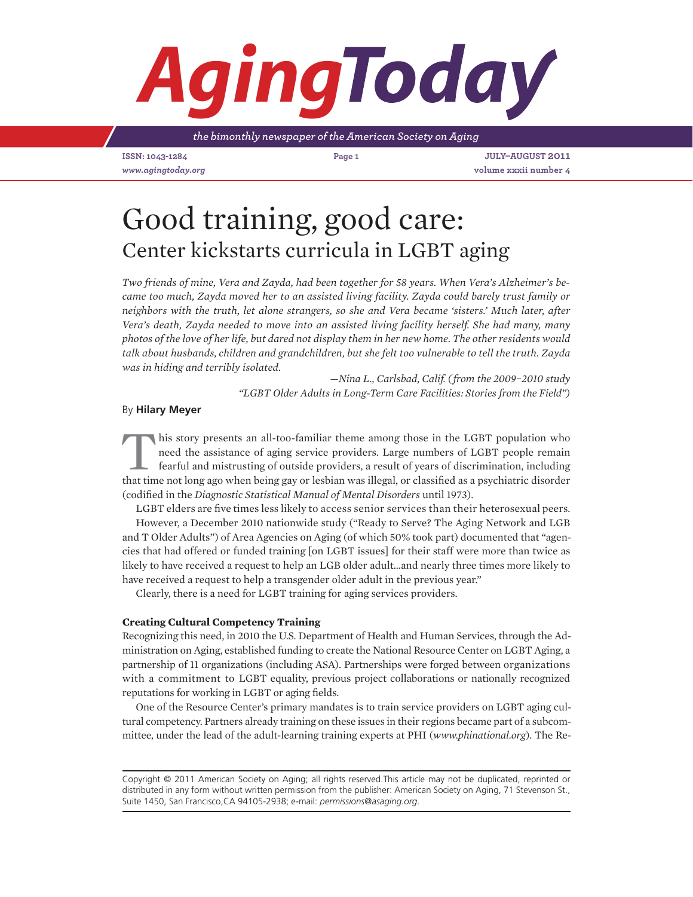# *Aging*

*the bimonthly newspaper of the American Society on Aging*

**ISSN: 1043-1284 Page 1 July–August 2011**

*www.agingtoday.org* **volume xxxii number 4**

## Good training, good care: Center kickstarts curricula in LGBT aging

*Two friends of mine, Vera and Zayda, had been together for 58 years. When Vera's Alzheimer's became too much, Zayda moved her to an assisted living facility. Zayda could barely trust family or neighbors with the truth, let alone strangers, so she and Vera became 'sisters.' Much later, after Vera's death, Zayda needed to move into an assisted living facility herself. She had many, many photos of the love of her life, but dared not display them in her new home. The other residents would talk about husbands, children and grandchildren, but she felt too vulnerable to tell the truth. Zayda was in hiding and terribly isolated.*

> —*Nina L., Carlsbad, Calif. ( from the 2009−2010 study "LGBT Older Adults in Long-Term Care Facilities: Stories from the Field")*

### By **Hilary Meyer**

In this story presents an all-too-familiar theme among those in the LGBT population who need the assistance of aging service providers. Large numbers of LGBT people remain fearful and mistrusting of outside providers, a result of years of discrimination, including that time not long ago when being gay or lesbian was illegal, or classified as a psychiatric disorder (codified in the *Diagnostic Statistical Manual of Mental Disorders* until 1973).

LGBT elders are five times less likely to access senior services than their heterosexual peers.

However, a December 2010 nationwide study ("Ready to Serve? The Aging Network and LGB and T Older Adults") of Area Agencies on Aging (of which 50% took part) documented that "agencies that had offered or funded training [on LGBT issues] for their staff were more than twice as likely to have received a request to help an LGB older adult…and nearly three times more likely to have received a request to help a transgender older adult in the previous year."

Clearly, there is a need for LGBT training for aging services providers.

### **Creating Cultural Competency Training**

Recognizing this need, in 2010 the U.S. Department of Health and Human Services, through the Administration on Aging, established funding to create the National Resource Center on LGBT Aging, a partnership of 11 organizations (including ASA). Partnerships were forged between organizations with a commitment to LGBT equality, previous project collaborations or nationally recognized reputations for working in LGBT or aging fields.

One of the Resource Center's primary mandates is to train service providers on LGBT aging cultural competency. Partners already training on these issues in their regions became part of a subcommittee, under the lead of the adult-learning training experts at PHI (*www.phinational.org*). The Re-

Copyright © 2011 American Society on Aging; all rights reserved.This article may not be duplicated, reprinted or distributed in any form without written permission from the publisher: American Society on Aging, 71 Stevenson St., Suite 1450, San Francisco,CA 94105-2938; e-mail: *permissions@asaging.org*.